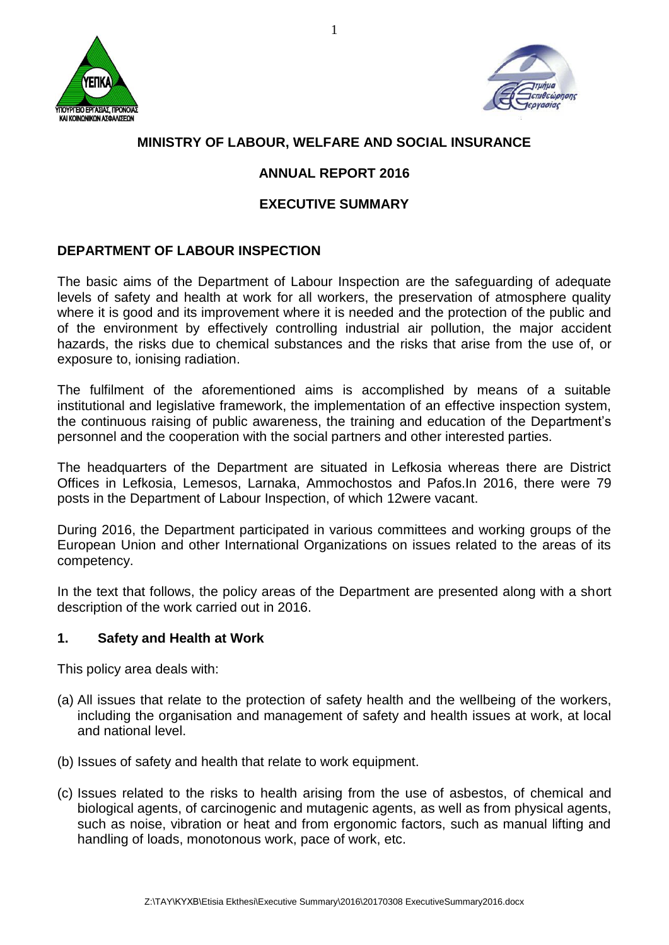



# **MINISTRY OF LABOUR, WELFARE AND SOCIAL INSURANCE**

## **ANNUAL REPORT 2016**

### **EXECUTIVE SUMMARY**

# **DEPARTMENT OF LABOUR INSPECTION**

The basic aims of the Department of Labour Inspection are the safeguarding of adequate levels of safety and health at work for all workers, the preservation of atmosphere quality where it is good and its improvement where it is needed and the protection of the public and of the environment by effectively controlling industrial air pollution, the major accident hazards, the risks due to chemical substances and the risks that arise from the use of, or exposure to, ionising radiation.

The fulfilment of the aforementioned aims is accomplished by means of a suitable institutional and legislative framework, the implementation of an effective inspection system, the continuous raising of public awareness, the training and education of the Department's personnel and the cooperation with the social partners and other interested parties.

The headquarters of the Department are situated in Lefkosia whereas there are District Offices in Lefkosia, Lemesos, Larnaka, Ammochostos and Pafos.In 2016, there were 79 posts in the Department of Labour Inspection, of which 12were vacant.

During 2016, the Department participated in various committees and working groups of the European Union and other International Organizations on issues related to the areas of its competency.

In the text that follows, the policy areas of the Department are presented along with a short description of the work carried out in 2016.

#### **1. Safety and Health at Work**

This policy area deals with:

- (a) All issues that relate to the protection of safety health and the wellbeing of the workers, including the organisation and management of safety and health issues at work, at local and national level.
- (b) Issues of safety and health that relate to work equipment.
- (c) Issues related to the risks to health arising from the use of asbestos, of chemical and biological agents, of carcinogenic and mutagenic agents, as well as from physical agents, such as noise, vibration or heat and from ergonomic factors, such as manual lifting and handling of loads, monotonous work, pace of work, etc.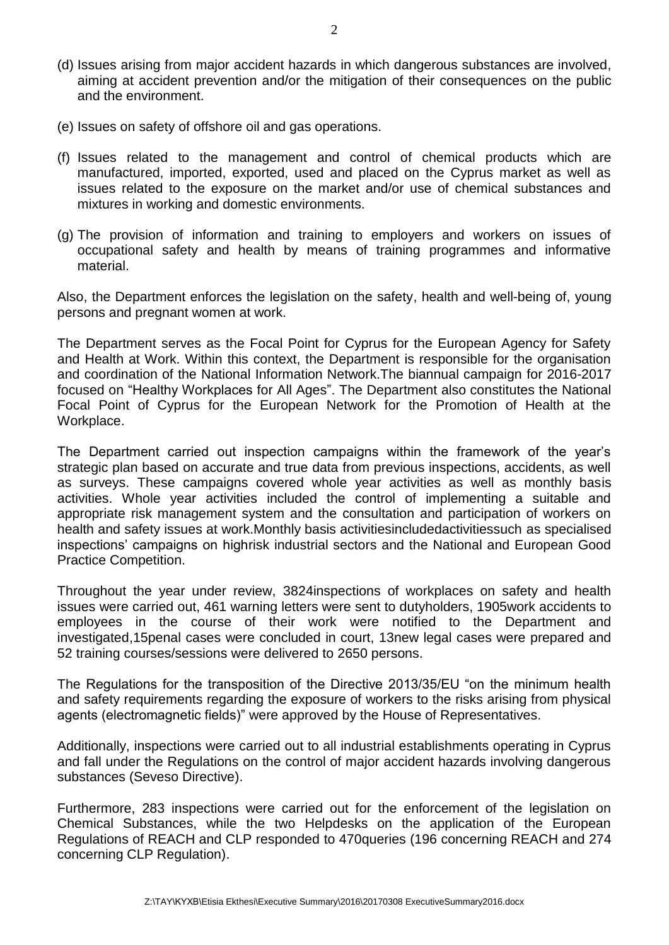- (d) Issues arising from major accident hazards in which dangerous substances are involved, aiming at accident prevention and/or the mitigation of their consequences on the public and the environment.
- (e) Issues on safety of offshore oil and gas operations.
- (f) Issues related to the management and control of chemical products which are manufactured, imported, exported, used and placed on the Cyprus market as well as issues related to the exposure on the market and/or use of chemical substances and mixtures in working and domestic environments.
- (g) The provision of information and training to employers and workers on issues of occupational safety and health by means of training programmes and informative material.

Also, the Department enforces the legislation on the safety, health and well-being of, young persons and pregnant women at work.

The Department serves as the Focal Point for Cyprus for the European Agency for Safety and Health at Work. Within this context, the Department is responsible for the organisation and coordination of the National Information Network.The biannual campaign for 2016-2017 focused on "Healthy Workplaces for All Ages". The Department also constitutes the National Focal Point of Cyprus for the European Network for the Promotion of Health at the Workplace.

The Department carried out inspection campaigns within the framework of the year's strategic plan based on accurate and true data from previous inspections, accidents, as well as surveys. These campaigns covered whole year activities as well as monthly basis activities. Whole year activities included the control of implementing a suitable and appropriate risk management system and the consultation and participation of workers on health and safety issues at work.Monthly basis activitiesincludedactivitiessuch as specialised inspections' campaigns on highrisk industrial sectors and the National and European Good Practice Competition.

Throughout the year under review, 3824inspections of workplaces on safety and health issues were carried out, 461 warning letters were sent to dutyholders, 1905work accidents to employees in the course of their work were notified to the Department and investigated,15penal cases were concluded in court, 13new legal cases were prepared and 52 training courses/sessions were delivered to 2650 persons.

The Regulations for the transposition of the Directive 2013/35/EU "on the minimum health and safety requirements regarding the exposure of workers to the risks arising from physical agents (electromagnetic fields)" were approved by the House of Representatives.

Additionally, inspections were carried out to all industrial establishments operating in Cyprus and fall under the Regulations on the control of major accident hazards involving dangerous substances (Seveso Directive).

Furthermore, 283 inspections were carried out for the enforcement of the legislation on Chemical Substances, while the two Helpdesks on the application of the European Regulations of REACH and CLP responded to 470queries (196 concerning REACH and 274 concerning CLP Regulation).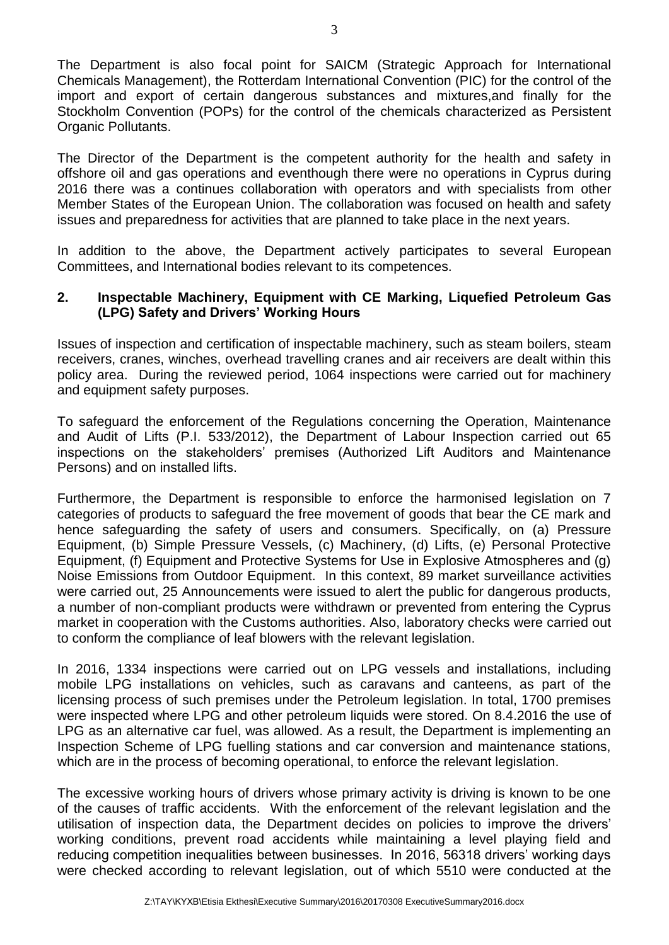The Department is also focal point for SAICM (Strategic Approach for International Chemicals Management), the Rotterdam International Convention (PIC) for the control of the import and export of certain dangerous substances and mixtures,and finally for the Stockholm Convention (POPs) for the control of the chemicals characterized as Persistent Organic Pollutants.

The Director of the Department is the competent authority for the health and safety in offshore oil and gas operations and eventhough there were no operations in Cyprus during 2016 there was a continues collaboration with operators and with specialists from other Member States of the European Union. The collaboration was focused on health and safety issues and preparedness for activities that are planned to take place in the next years.

In addition to the above, the Department actively participates to several European Committees, and International bodies relevant to its competences.

#### **2. Inspectable Machinery, Equipment with CE Marking, Liquefied Petroleum Gas (LPG) Safety and Drivers' Working Hours**

Issues of inspection and certification of inspectable machinery, such as steam boilers, steam receivers, cranes, winches, overhead travelling cranes and air receivers are dealt within this policy area. During the reviewed period, 1064 inspections were carried out for machinery and equipment safety purposes.

To safeguard the enforcement of the Regulations concerning the Operation, Maintenance and Audit of Lifts (P.I. 533/2012), the Department of Labour Inspection carried out 65 inspections on the stakeholders' premises (Authorized Lift Auditors and Maintenance Persons) and on installed lifts.

Furthermore, the Department is responsible to enforce the harmonised legislation on 7 categories of products to safeguard the free movement of goods that bear the CE mark and hence safeguarding the safety of users and consumers. Specifically, on (a) Pressure Equipment, (b) Simple Pressure Vessels, (c) Machinery, (d) Lifts, (e) Personal Protective Equipment, (f) Equipment and Protective Systems for Use in Explosive Atmospheres and (g) Noise Emissions from Outdoor Equipment. In this context, 89 market surveillance activities were carried out, 25 Announcements were issued to alert the public for dangerous products, a number of non-compliant products were withdrawn or prevented from entering the Cyprus market in cooperation with the Customs authorities. Also, laboratory checks were carried out to conform the compliance of leaf blowers with the relevant legislation.

In 2016, 1334 inspections were carried out on LPG vessels and installations, including mobile LPG installations on vehicles, such as caravans and canteens, as part of the licensing process of such premises under the Petroleum legislation. In total, 1700 premises were inspected where LPG and other petroleum liquids were stored. On 8.4.2016 the use of LPG as an alternative car fuel, was allowed. As a result, the Department is implementing an Inspection Scheme of LPG fuelling stations and car conversion and maintenance stations, which are in the process of becoming operational, to enforce the relevant legislation.

The excessive working hours of drivers whose primary activity is driving is known to be one of the causes of traffic accidents. With the enforcement of the relevant legislation and the utilisation of inspection data, the Department decides on policies to improve the drivers' working conditions, prevent road accidents while maintaining a level playing field and reducing competition inequalities between businesses. In 2016, 56318 drivers' working days were checked according to relevant legislation, out of which 5510 were conducted at the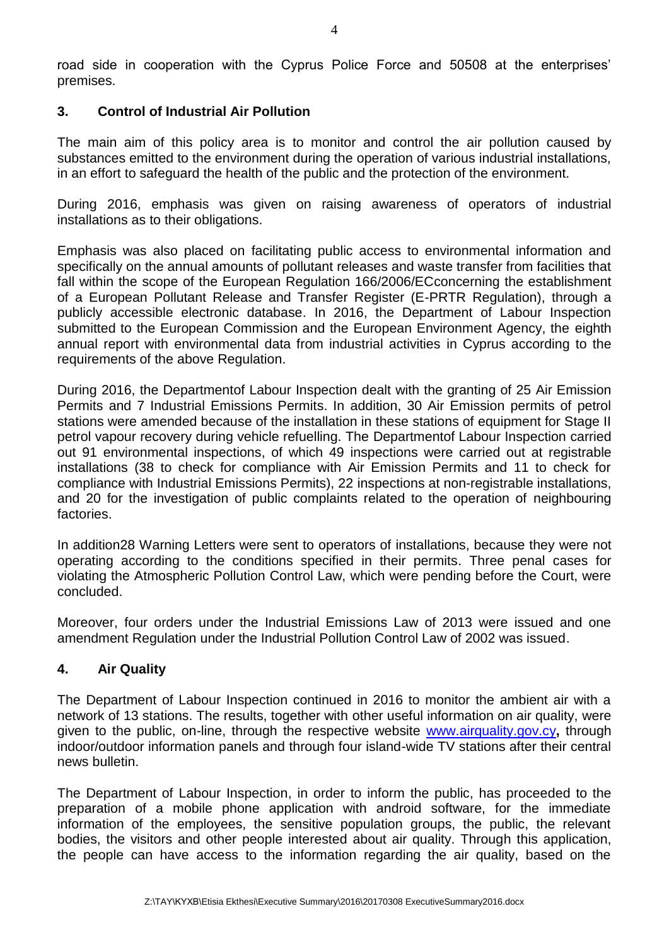road side in cooperation with the Cyprus Police Force and 50508 at the enterprises' premises.

#### **3. Control of Industrial Air Pollution**

The main aim of this policy area is to monitor and control the air pollution caused by substances emitted to the environment during the operation of various industrial installations, in an effort to safeguard the health of the public and the protection of the environment.

During 2016, emphasis was given on raising awareness of operators of industrial installations as to their obligations.

Emphasis was also placed on facilitating public access to environmental information and specifically on the annual amounts of pollutant releases and waste transfer from facilities that fall within the scope of the European Regulation 166/2006/ECconcerning the establishment of a European Pollutant Release and Transfer Register (E-PRTR Regulation), through a publicly accessible electronic database. In 2016, the Department of Labour Inspection submitted to the European Commission and the European Environment Agency, the eighth annual report with environmental data from industrial activities in Cyprus according to the requirements of the above Regulation.

During 2016, the Departmentof Labour Inspection dealt with the granting of 25 Air Emission Permits and 7 Industrial Emissions Permits. In addition, 30 Air Emission permits of petrol stations were amended because of the installation in these stations of equipment for Stage II petrol vapour recovery during vehicle refuelling. The Departmentof Labour Inspection carried out 91 environmental inspections, of which 49 inspections were carried out at registrable installations (38 to check for compliance with Air Emission Permits and 11 to check for compliance with Industrial Emissions Permits), 22 inspections at non-registrable installations, and 20 for the investigation of public complaints related to the operation of neighbouring factories.

In addition28 Warning Letters were sent to operators of installations, because they were not operating according to the conditions specified in their permits. Three penal cases for violating the Atmospheric Pollution Control Law, which were pending before the Court, were concluded.

Moreover, four orders under the Industrial Emissions Law of 2013 were issued and one amendment Regulation under the Industrial Pollution Control Law of 2002 was issued.

### **4. Air Quality**

The Department of Labour Inspection continued in 2016 to monitor the ambient air with a network of 13 stations. The results, together with other useful information on air quality, were given to the public, on-line, through the respective website [www.airquality.gov.cy](http://www.airquality.gov.cy/)**,** through indoor/outdoor information panels and through four island-wide TV stations after their central news bulletin.

The Department of Labour Inspection, in order to inform the public, has proceeded to the preparation of a mobile phone application with android software, for the immediate information of the employees, the sensitive population groups, the public, the relevant bodies, the visitors and other people interested about air quality. Through this application, the people can have access to the information regarding the air quality, based on the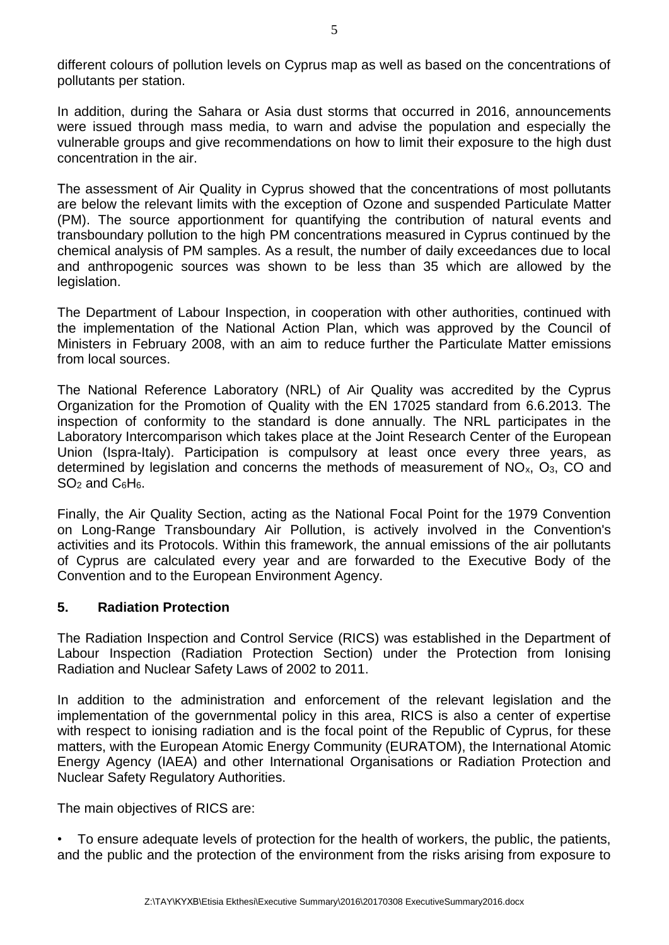different colours of pollution levels on Cyprus map as well as based on the concentrations of pollutants per station.

In addition, during the Sahara or Asia dust storms that occurred in 2016, announcements were issued through mass media, to warn and advise the population and especially the vulnerable groups and give recommendations on how to limit their exposure to the high dust concentration in the air.

Τhe assessment of Air Quality in Cyprus showed that the concentrations of most pollutants are below the relevant limits with the exception of Ozone and suspended Particulate Matter (PM). The source apportionment for quantifying the contribution of natural events and transboundary pollution to the high PM concentrations measured in Cyprus continued by the chemical analysis of PM samples. As a result, the number of daily exceedances due to local and anthropogenic sources was shown to be less than 35 which are allowed by the legislation.

The Department of Labour Inspection, in cooperation with other authorities, continued with the implementation of the National Action Plan, which was approved by the Council of Ministers in February 2008, with an aim to reduce further the Particulate Matter emissions from local sources.

The National Reference Laboratory (NRL) of Air Quality was accredited by the Cyprus Organization for the Promotion of Quality with the EN 17025 standard from 6.6.2013. The inspection of conformity to the standard is done annually. The NRL participates in the Laboratory Intercomparison which takes place at the Joint Research Center of the European Union (Ispra-Italy). Participation is compulsory at least once every three years, as determined by legislation and concerns the methods of measurement of NOx, Ο3, CO and  $SO<sub>2</sub>$  and  $C<sub>6</sub>H<sub>6</sub>$ .

Finally, the Air Quality Section, acting as the National Focal Point for the 1979 Convention on Long-Range Transboundary Air Pollution, is actively involved in the Convention's activities and its Protocols. Within this framework, the annual emissions of the air pollutants of Cyprus are calculated every year and are forwarded to the Executive Body of the Convention and to the European Environment Agency.

#### **5. Radiation Protection**

The Radiation Inspection and Control Service (RICS) was established in the Department of Labour Inspection (Radiation Protection Section) under the Protection from Ionising Radiation and Nuclear Safety Laws of 2002 to 2011.

In addition to the administration and enforcement of the relevant legislation and the implementation of the governmental policy in this area, RICS is also a center of expertise with respect to ionising radiation and is the focal point of the Republic of Cyprus, for these matters, with the European Atomic Energy Community (EURATOM), the International Atomic Energy Agency (IAEA) and other International Organisations or Radiation Protection and Nuclear Safety Regulatory Authorities.

The main objectives of RICS are:

• To ensure adequate levels of protection for the health of workers, the public, the patients, and the public and the protection of the environment from the risks arising from exposure to